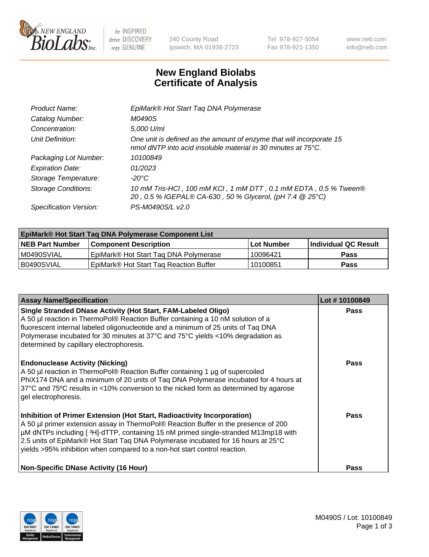

 $be$  INSPIRED drive DISCOVERY stay GENUINE

240 County Road Ipswich, MA 01938-2723 Tel 978-927-5054 Fax 978-921-1350 www.neb.com info@neb.com

## **New England Biolabs Certificate of Analysis**

| EpiMark® Hot Start Tag DNA Polymerase                                                                                                           |
|-------------------------------------------------------------------------------------------------------------------------------------------------|
| M0490S                                                                                                                                          |
| 5,000 U/ml                                                                                                                                      |
| One unit is defined as the amount of enzyme that will incorporate 15<br>nmol dNTP into acid insoluble material in 30 minutes at $75^{\circ}$ C. |
| 10100849                                                                                                                                        |
| 01/2023                                                                                                                                         |
| $-20^{\circ}$ C                                                                                                                                 |
| 10 mM Tris-HCl, 100 mM KCl, 1 mM DTT, 0.1 mM EDTA, 0.5 % Tween®<br>20, 0.5 % IGEPAL® CA-630, 50 % Glycerol, (pH 7.4 @ 25°C)                     |
| PS-M0490S/L v2.0                                                                                                                                |
|                                                                                                                                                 |

| <b>EpiMark® Hot Start Taq DNA Polymerase Component List</b> |                                                    |              |                      |  |  |
|-------------------------------------------------------------|----------------------------------------------------|--------------|----------------------|--|--|
| <b>NEB Part Number</b>                                      | <b>Component Description</b>                       | l Lot Number | Individual QC Result |  |  |
| IM0490SVIAL                                                 | EpiMark® Hot Start Tag DNA Polymerase              | 10096421     | <b>Pass</b>          |  |  |
| B0490SVIAL                                                  | EpiMark <sup>®</sup> Hot Start Tag Reaction Buffer | 10100851     | <b>Pass</b>          |  |  |

| <b>Assay Name/Specification</b>                                                                                                                                                                                                                                                                                                                                                                                        | Lot #10100849 |
|------------------------------------------------------------------------------------------------------------------------------------------------------------------------------------------------------------------------------------------------------------------------------------------------------------------------------------------------------------------------------------------------------------------------|---------------|
| Single Stranded DNase Activity (Hot Start, FAM-Labeled Oligo)<br>A 50 µl reaction in ThermoPol® Reaction Buffer containing a 10 nM solution of a<br>fluorescent internal labeled oligonucleotide and a minimum of 25 units of Taq DNA<br>Polymerase incubated for 30 minutes at 37°C and 75°C yields <10% degradation as<br>determined by capillary electrophoresis.                                                   | Pass          |
| <b>Endonuclease Activity (Nicking)</b><br>A 50 µl reaction in ThermoPol® Reaction Buffer containing 1 µg of supercoiled<br>PhiX174 DNA and a minimum of 20 units of Tag DNA Polymerase incubated for 4 hours at<br>37°C and 75°C results in <10% conversion to the nicked form as determined by agarose<br>gel electrophoresis.                                                                                        | Pass          |
| Inhibition of Primer Extension (Hot Start, Radioactivity Incorporation)<br>A 50 µl primer extension assay in ThermoPol® Reaction Buffer in the presence of 200<br>µM dNTPs including [3H]-dTTP, containing 15 nM primed single-stranded M13mp18 with<br>2.5 units of EpiMark® Hot Start Taq DNA Polymerase incubated for 16 hours at 25°C<br>yields >95% inhibition when compared to a non-hot start control reaction. | Pass          |
| <b>Non-Specific DNase Activity (16 Hour)</b>                                                                                                                                                                                                                                                                                                                                                                           | Pass          |

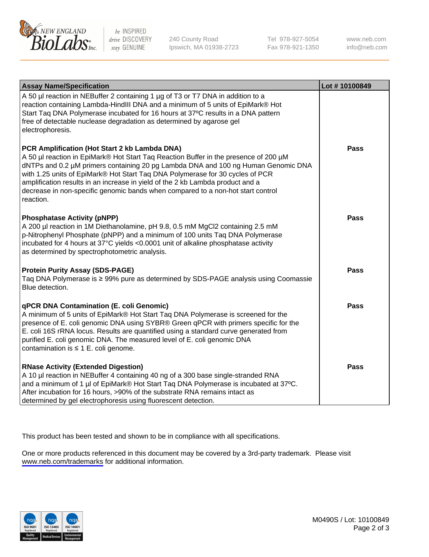

be INSPIRED drive DISCOVERY stay GENUINE

240 County Road Ipswich, MA 01938-2723 Tel 978-927-5054 Fax 978-921-1350

www.neb.com info@neb.com

| <b>Assay Name/Specification</b>                                                                                                                                                                                                                                                                                                                                                                                                                                                               | Lot #10100849 |
|-----------------------------------------------------------------------------------------------------------------------------------------------------------------------------------------------------------------------------------------------------------------------------------------------------------------------------------------------------------------------------------------------------------------------------------------------------------------------------------------------|---------------|
| A 50 µl reaction in NEBuffer 2 containing 1 µg of T3 or T7 DNA in addition to a<br>reaction containing Lambda-HindIII DNA and a minimum of 5 units of EpiMark® Hot<br>Start Taq DNA Polymerase incubated for 16 hours at 37°C results in a DNA pattern<br>free of detectable nuclease degradation as determined by agarose gel<br>electrophoresis.                                                                                                                                            |               |
| PCR Amplification (Hot Start 2 kb Lambda DNA)<br>A 50 µl reaction in EpiMark® Hot Start Taq Reaction Buffer in the presence of 200 µM<br>dNTPs and 0.2 µM primers containing 20 pg Lambda DNA and 100 ng Human Genomic DNA<br>with 1.25 units of EpiMark® Hot Start Taq DNA Polymerase for 30 cycles of PCR<br>amplification results in an increase in yield of the 2 kb Lambda product and a<br>decrease in non-specific genomic bands when compared to a non-hot start control<br>reaction. | <b>Pass</b>   |
| <b>Phosphatase Activity (pNPP)</b><br>A 200 µl reaction in 1M Diethanolamine, pH 9.8, 0.5 mM MgCl2 containing 2.5 mM<br>p-Nitrophenyl Phosphate (pNPP) and a minimum of 100 units Taq DNA Polymerase<br>incubated for 4 hours at 37°C yields <0.0001 unit of alkaline phosphatase activity<br>as determined by spectrophotometric analysis.                                                                                                                                                   | <b>Pass</b>   |
| <b>Protein Purity Assay (SDS-PAGE)</b><br>Taq DNA Polymerase is ≥ 99% pure as determined by SDS-PAGE analysis using Coomassie<br>Blue detection.                                                                                                                                                                                                                                                                                                                                              | Pass          |
| <b>qPCR DNA Contamination (E. coli Genomic)</b><br>A minimum of 5 units of EpiMark® Hot Start Taq DNA Polymerase is screened for the<br>presence of E. coli genomic DNA using SYBR® Green qPCR with primers specific for the<br>E. coli 16S rRNA locus. Results are quantified using a standard curve generated from<br>purified E. coli genomic DNA. The measured level of E. coli genomic DNA<br>contamination is $\leq 1$ E. coli genome.                                                  | Pass          |
| <b>RNase Activity (Extended Digestion)</b><br>A 10 µl reaction in NEBuffer 4 containing 40 ng of a 300 base single-stranded RNA<br>and a minimum of 1 µl of EpiMark® Hot Start Taq DNA Polymerase is incubated at 37°C.<br>After incubation for 16 hours, >90% of the substrate RNA remains intact as<br>determined by gel electrophoresis using fluorescent detection.                                                                                                                       | <b>Pass</b>   |

This product has been tested and shown to be in compliance with all specifications.

One or more products referenced in this document may be covered by a 3rd-party trademark. Please visit <www.neb.com/trademarks>for additional information.